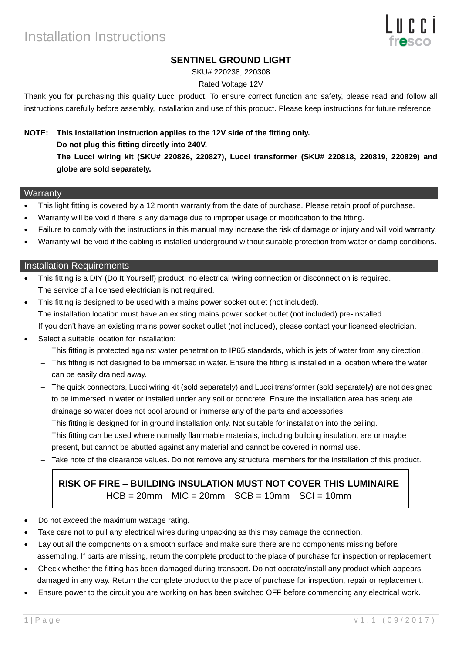## **SENTINEL GROUND LIGHT**

SKU# 220238, 220308

### Rated Voltage 12V

Thank you for purchasing this quality Lucci product. To ensure correct function and safety, please read and follow all instructions carefully before assembly, installation and use of this product. Please keep instructions for future reference.

# **NOTE: This installation instruction applies to the 12V side of the fitting only. Do not plug this fitting directly into 240V. The Lucci wiring kit (SKU# 220826, 220827), Lucci transformer (SKU# 220818, 220819, 220829) and globe are sold separately.**

#### **Warranty**

- This light fitting is covered by a 12 month warranty from the date of purchase. Please retain proof of purchase.
- Warranty will be void if there is any damage due to improper usage or modification to the fitting.
- Failure to comply with the instructions in this manual may increase the risk of damage or injury and will void warranty.
- Warranty will be void if the cabling is installed underground without suitable protection from water or damp conditions.

#### Installation Requirements

- This fitting is a DIY (Do It Yourself) product, no electrical wiring connection or disconnection is required. The service of a licensed electrician is not required.
- This fitting is designed to be used with a mains power socket outlet (not included). The installation location must have an existing mains power socket outlet (not included) pre-installed. If you don't have an existing mains power socket outlet (not included), please contact your licensed electrician.
- Select a suitable location for installation:
	- This fitting is protected against water penetration to IP65 standards, which is jets of water from any direction.
	- This fitting is not designed to be immersed in water. Ensure the fitting is installed in a location where the water can be easily drained away.
	- The quick connectors, Lucci wiring kit (sold separately) and Lucci transformer (sold separately) are not designed to be immersed in water or installed under any soil or concrete. Ensure the installation area has adequate drainage so water does not pool around or immerse any of the parts and accessories.
	- This fitting is designed for in ground installation only. Not suitable for installation into the ceiling.
	- This fitting can be used where normally flammable materials, including building insulation, are or maybe present, but cannot be abutted against any material and cannot be covered in normal use.
	- Take note of the clearance values. Do not remove any structural members for the installation of this product.

# **RISK OF FIRE – BUILDING INSULATION MUST NOT COVER THIS LUMINAIRE**  $HCB = 20$ mm  $MIC = 20$ mm  $SCB = 10$ mm  $SCI = 10$ mm

- Do not exceed the maximum wattage rating.
- Take care not to pull any electrical wires during unpacking as this may damage the connection.
- Lay out all the components on a smooth surface and make sure there are no components missing before assembling. If parts are missing, return the complete product to the place of purchase for inspection or replacement.
- Check whether the fitting has been damaged during transport. Do not operate/install any product which appears damaged in any way. Return the complete product to the place of purchase for inspection, repair or replacement.
- Ensure power to the circuit you are working on has been switched OFF before commencing any electrical work.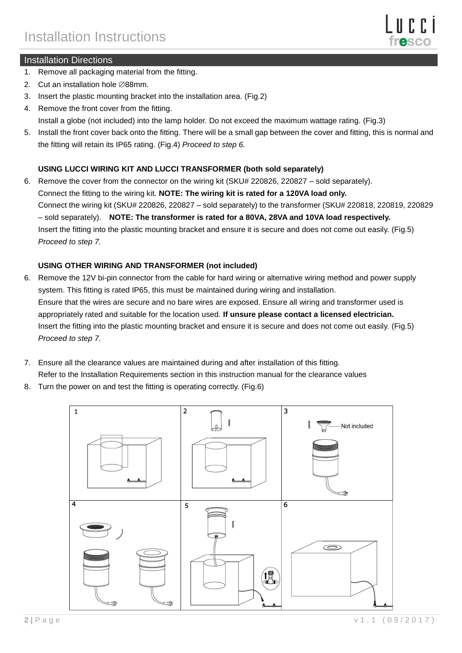

## Installation Directions

- 1. Remove all packaging material from the fitting.
- 2. Cut an installation hole  $\varnothing$ 88mm.
- 3. Insert the plastic mounting bracket into the installation area. (Fig.2)
- 4. Remove the front cover from the fitting.
- Install a globe (not included) into the lamp holder. Do not exceed the maximum wattage rating. (Fig.3)
- 5. Install the front cover back onto the fitting. There will be a small gap between the cover and fitting, this is normal and the fitting will retain its IP65 rating. (Fig.4) *Proceed to step 6.*

## **USING LUCCI WIRING KIT AND LUCCI TRANSFORMER (both sold separately)**

6. Remove the cover from the connector on the wiring kit (SKU# 220826, 220827 – sold separately). Connect the fitting to the wiring kit. **NOTE: The wiring kit is rated for a 120VA load only.** Connect the wiring kit (SKU# 220826, 220827 – sold separately) to the transformer (SKU# 220818, 220819, 220829 – sold separately). **NOTE: The transformer is rated for a 80VA, 28VA and 10VA load respectively.** Insert the fitting into the plastic mounting bracket and ensure it is secure and does not come out easily. (Fig.5) *Proceed to step 7.*

### **USING OTHER WIRING AND TRANSFORMER (not included)**

- 6. Remove the 12V bi-pin connector from the cable for hard wiring or alternative wiring method and power supply system. This fitting is rated IP65, this must be maintained during wiring and installation. Ensure that the wires are secure and no bare wires are exposed. Ensure all wiring and transformer used is appropriately rated and suitable for the location used. **If unsure please contact a licensed electrician.** Insert the fitting into the plastic mounting bracket and ensure it is secure and does not come out easily. (Fig.5) *Proceed to step 7.*
- 7. Ensure all the clearance values are maintained during and after installation of this fitting. Refer to the Installation Requirements section in this instruction manual for the clearance values
- 8. Turn the power on and test the fitting is operating correctly. (Fig.6)